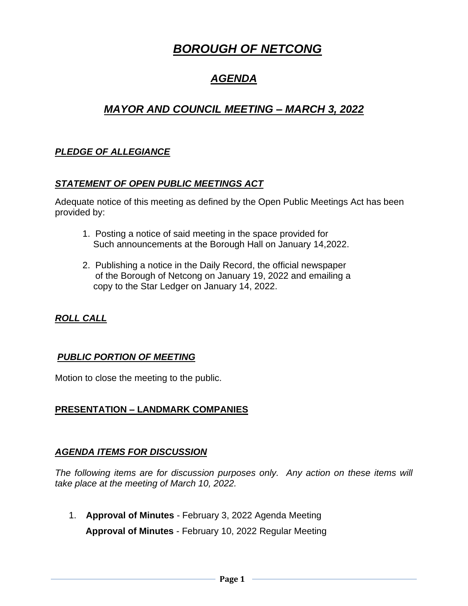# *BOROUGH OF NETCONG*

# *AGENDA*

# *MAYOR AND COUNCIL MEETING – MARCH 3, 2022*

# *PLEDGE OF ALLEGIANCE*

# *STATEMENT OF OPEN PUBLIC MEETINGS ACT*

Adequate notice of this meeting as defined by the Open Public Meetings Act has been provided by:

- 1. Posting a notice of said meeting in the space provided for Such announcements at the Borough Hall on January 14,2022.
- 2. Publishing a notice in the Daily Record, the official newspaper of the Borough of Netcong on January 19, 2022 and emailing a copy to the Star Ledger on January 14, 2022.

# *ROLL CALL*

# *PUBLIC PORTION OF MEETING*

Motion to close the meeting to the public.

# **PRESENTATION – LANDMARK COMPANIES**

# *AGENDA ITEMS FOR DISCUSSION*

*The following items are for discussion purposes only. Any action on these items will take place at the meeting of March 10, 2022.* 

1. **Approval of Minutes** - February 3, 2022 Agenda Meeting  **Approval of Minutes** - February 10, 2022 Regular Meeting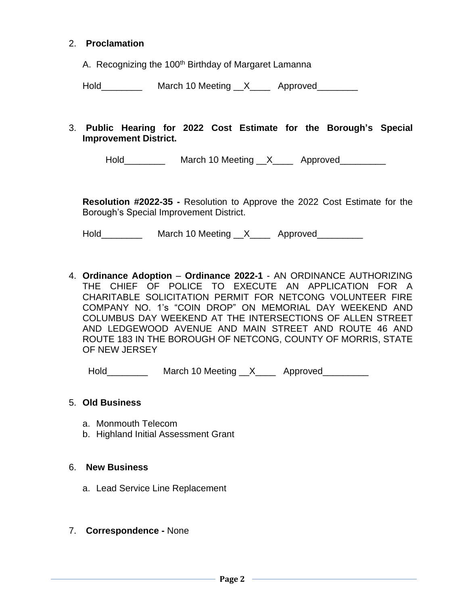#### 2. **Proclamation**

A. Recognizing the 100<sup>th</sup> Birthday of Margaret Lamanna

Hold March 10 Meeting X Approved

3. **Public Hearing for 2022 Cost Estimate for the Borough's Special Improvement District.**

Hold\_\_\_\_\_\_\_\_\_\_\_\_ March 10 Meeting \_\_X\_\_\_\_\_ Approved\_\_\_\_\_\_\_\_\_\_

**Resolution #2022-35 -** Resolution to Approve the 2022 Cost Estimate for the Borough's Special Improvement District.

Hold\_\_\_\_\_\_\_\_\_\_\_ March 10 Meeting \_\_X\_\_\_\_ Approved\_\_\_\_\_\_\_\_\_

4. **Ordinance Adoption** – **Ordinance 2022-1** - AN ORDINANCE AUTHORIZING THE CHIEF OF POLICE TO EXECUTE AN APPLICATION FOR A CHARITABLE SOLICITATION PERMIT FOR NETCONG VOLUNTEER FIRE COMPANY NO. 1's "COIN DROP" ON MEMORIAL DAY WEEKEND AND COLUMBUS DAY WEEKEND AT THE INTERSECTIONS OF ALLEN STREET AND LEDGEWOOD AVENUE AND MAIN STREET AND ROUTE 46 AND ROUTE 183 IN THE BOROUGH OF NETCONG, COUNTY OF MORRIS, STATE OF NEW JERSEY

Hold March 10 Meeting X Approved

#### 5. **Old Business**

- a. Monmouth Telecom
- b. Highland Initial Assessment Grant

#### 6. **New Business**

- a. Lead Service Line Replacement
- 7. **Correspondence -** None